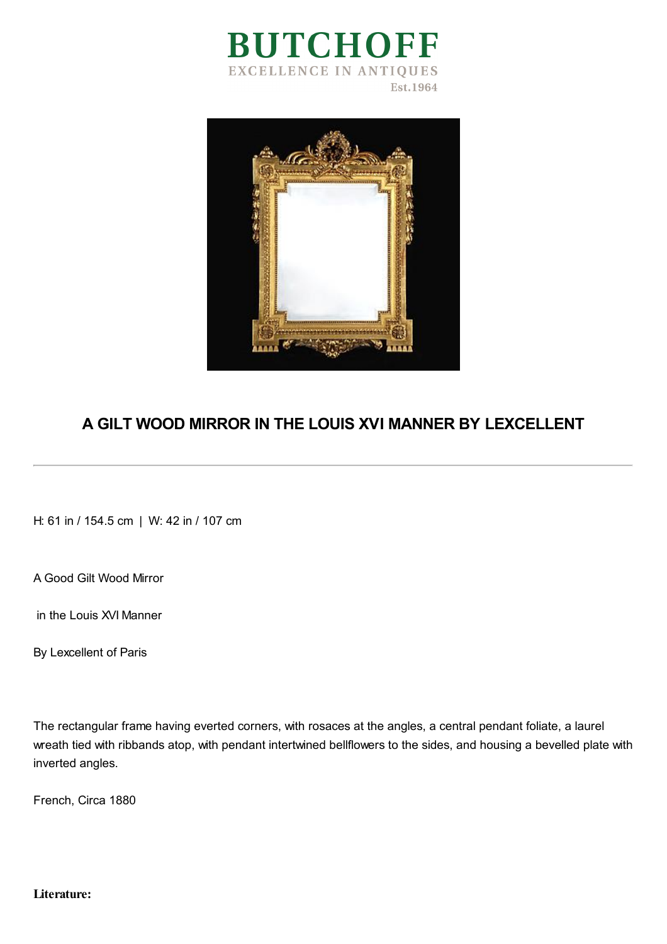



## **A GILT WOOD MIRROR IN THE LOUIS XVI MANNER BY LEXCELLENT**

H: 61 in / 154.5 cm | W: 42 in / 107 cm

A Good Gilt Wood Mirror

in the Louis XVI Manner

By Lexcellent of Paris

The rectangular frame having everted corners, with rosaces at the angles, a central pendant foliate, a laurel wreath tied with ribbands atop, with pendant intertwined bellflowers to the sides, and housing a bevelled plate with inverted angles.

French, Circa 1880

**Literature:**